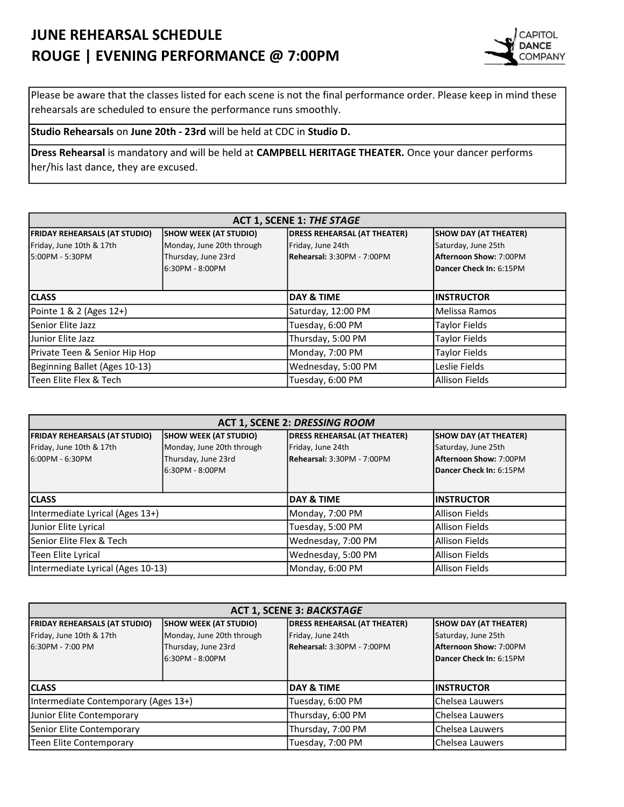## JUNE REHEARSAL SCHEDULE ROUGE | EVENING PERFORMANCE @ 7:00PM



Please be aware that the classes listed for each scene is not the final performance order. Please keep in mind these rehearsals are scheduled to ensure the performance runs smoothly.

Studio Rehearsals on June 20th - 23rd will be held at CDC in Studio D.

Dress Rehearsal is mandatory and will be held at CAMPBELL HERITAGE THEATER. Once your dancer performs her/his last dance, they are excused.

| <b>ACT 1, SCENE 1: THE STAGE</b>     |                              |                                     |                                 |
|--------------------------------------|------------------------------|-------------------------------------|---------------------------------|
| <b>FRIDAY REHEARSALS (AT STUDIO)</b> | <b>SHOW WEEK (AT STUDIO)</b> | <b>DRESS REHEARSAL (AT THEATER)</b> | SHOW DAY (AT THEATER)           |
| Friday, June 10th & 17th             | Monday, June 20th through    | Friday, June 24th                   | Saturday, June 25th             |
| 15:00PM - 5:30PM                     | Thursday, June 23rd          | Rehearsal: 3:30PM - 7:00PM          | Afternoon Show: 7:00PM          |
|                                      | l6:30PM - 8:00PM             |                                     | <b>IDancer Check In: 6:15PM</b> |
|                                      |                              |                                     |                                 |
| <b>CLASS</b>                         |                              | <b>DAY &amp; TIME</b>               | IINSTRUCTOR                     |
| Pointe 1 & 2 (Ages 12+)              |                              | Saturday, 12:00 PM                  | lMelissa Ramos                  |
| lSenior Elite Jazz                   |                              | Tuesday, 6:00 PM                    | <b>Taylor Fields</b>            |
| lJunior Elite Jazz                   |                              | Thursday, 5:00 PM                   | <b>Taylor Fields</b>            |
| Private Teen & Senior Hip Hop        |                              | Monday, 7:00 PM                     | <b>Taylor Fields</b>            |
| Beginning Ballet (Ages 10-13)        |                              | Wednesday, 5:00 PM                  | Leslie Fields                   |
| Teen Elite Flex & Tech               |                              | Tuesday, 6:00 PM                    | Allison Fields                  |

| <b>ACT 1, SCENE 2: DRESSING ROOM</b> |                              |                                     |                              |
|--------------------------------------|------------------------------|-------------------------------------|------------------------------|
| <b>FRIDAY REHEARSALS (AT STUDIO)</b> | <b>SHOW WEEK (AT STUDIO)</b> | <b>DRESS REHEARSAL (AT THEATER)</b> | <b>SHOW DAY (AT THEATER)</b> |
| Friday, June 10th & 17th             | Monday, June 20th through    | Friday, June 24th                   | Saturday, June 25th          |
| 6:00PM - 6:30PM                      | Thursday, June 23rd          | Rehearsal: 3:30PM - 7:00PM          | Afternoon Show: 7:00PM       |
|                                      | 6:30PM - 8:00PM              |                                     | Dancer Check In: 6:15PM      |
|                                      |                              |                                     |                              |
| <b>ICLASS</b>                        |                              | IDAY & TIME                         | INSTRUCTOR                   |
| Intermediate Lyrical (Ages 13+)      |                              | Monday, 7:00 PM                     | <b>Allison Fields</b>        |
| Junior Elite Lyrical                 |                              | Tuesday, 5:00 PM                    | Allison Fields               |
| Senior Elite Flex & Tech             |                              | Wednesday, 7:00 PM                  | <b>Allison Fields</b>        |
| Teen Elite Lyrical                   |                              | Wednesday, 5:00 PM                  | <b>Allison Fields</b>        |
| Intermediate Lyrical (Ages 10-13)    |                              | Monday, 6:00 PM                     | <b>Allison Fields</b>        |

| <b>ACT 1, SCENE 3: BACKSTAGE</b>     |                              |                                     |                         |
|--------------------------------------|------------------------------|-------------------------------------|-------------------------|
| <b>FRIDAY REHEARSALS (AT STUDIO)</b> | <b>SHOW WEEK (AT STUDIO)</b> | <b>DRESS REHEARSAL (AT THEATER)</b> | SHOW DAY (AT THEATER)   |
| Friday, June 10th & 17th             | Monday, June 20th through    | Friday, June 24th                   | Saturday, June 25th     |
| 6:30PM - 7:00 PM                     | Thursday, June 23rd          | Rehearsal: 3:30PM - 7:00PM          | Afternoon Show: 7:00PM  |
|                                      | 6:30PM - 8:00PM              |                                     | Dancer Check In: 6:15PM |
|                                      |                              |                                     |                         |
| <b>CLASS</b>                         |                              | <b>DAY &amp; TIME</b>               | <b>INSTRUCTOR</b>       |
| Intermediate Contemporary (Ages 13+) |                              | Tuesday, 6:00 PM                    | lChelsea Lauwers        |
| Junior Elite Contemporary            |                              | Thursday, 6:00 PM                   | Chelsea Lauwers         |
| Senior Elite Contemporary            |                              | Thursday, 7:00 PM                   | Chelsea Lauwers         |
| Teen Elite Contemporary              |                              | Tuesday, 7:00 PM                    | Chelsea Lauwers         |